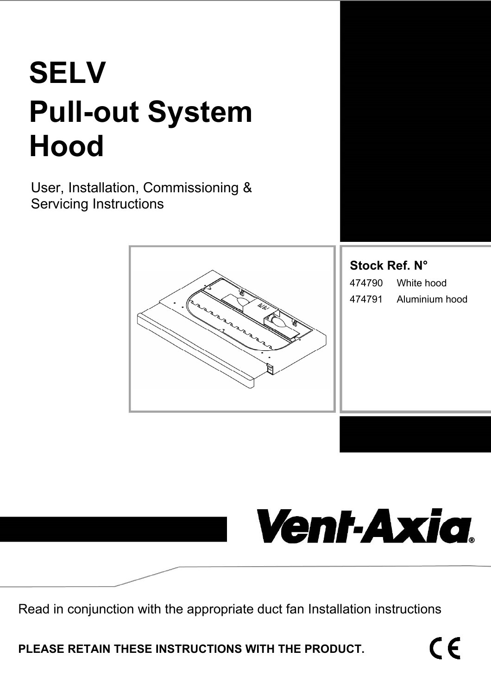# **SELV Pull-out System Hood**

User, Installation, Commissioning & Servicing Instructions



**Stock Ref. N°**  474790 White hood 474791 Aluminium hood



Read in conjunction with the appropriate duct fan Installation instructions

**PLEASE RETAIN THESE INSTRUCTIONS WITH THE PRODUCT.**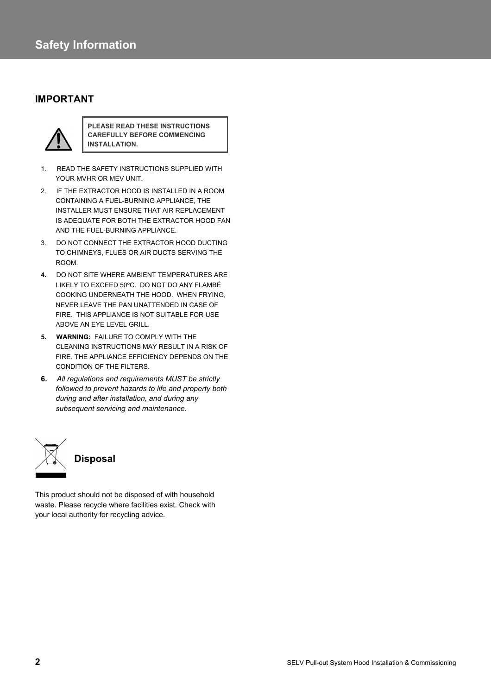### **IMPORTANT**



**PLEASE READ THESE INSTRUCTIONS CAREFULLY BEFORE COMMENCING INSTALLATION.** 

- 1. READ THE SAFETY INSTRUCTIONS SUPPLIED WITH YOUR MVHR OR MEV UNIT.
- 2. IF THE EXTRACTOR HOOD IS INSTALLED IN A ROOM CONTAINING A FUEL-BURNING APPLIANCE, THE INSTALLER MUST ENSURE THAT AIR REPLACEMENT IS ADEQUATE FOR BOTH THE EXTRACTOR HOOD FAN AND THE FUEL-BURNING APPLIANCE.
- 3. DO NOT CONNECT THE EXTRACTOR HOOD DUCTING TO CHIMNEYS, FLUES OR AIR DUCTS SERVING THE ROOM.
- **4.** DO NOT SITE WHERE AMBIENT TEMPERATURES ARE LIKELY TO EXCEED 50ºC. DO NOT DO ANY FLAMBÉ COOKING UNDERNEATH THE HOOD. WHEN FRYING, NEVER LEAVE THE PAN UNATTENDED IN CASE OF FIRE. THIS APPLIANCE IS NOT SUITABLE FOR USE ABOVE AN EYE LEVEL GRILL.
- **5. WARNING:** FAILURE TO COMPLY WITH THE CLEANING INSTRUCTIONS MAY RESULT IN A RISK OF FIRE. THE APPLIANCE EFFICIENCY DEPENDS ON THE CONDITION OF THE FILTERS.
- **6.** *All regulations and requirements MUST be strictly followed to prevent hazards to life and property both during and after installation, and during any subsequent servicing and maintenance.*



This product should not be disposed of with household waste. Please recycle where facilities exist. Check with your local authority for recycling advice.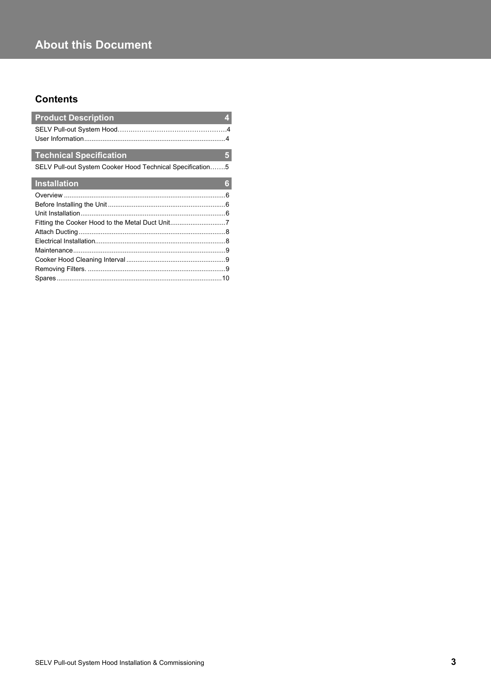# **About this Document**

# **Contents**

| <b>Product Description</b>                                | Æγ  |
|-----------------------------------------------------------|-----|
|                                                           |     |
| <b>Technical Specification</b>                            | 151 |
| SELV Pull-out System Cooker Hood Technical Specification5 |     |
| Installation                                              | G   |
|                                                           | - 6 |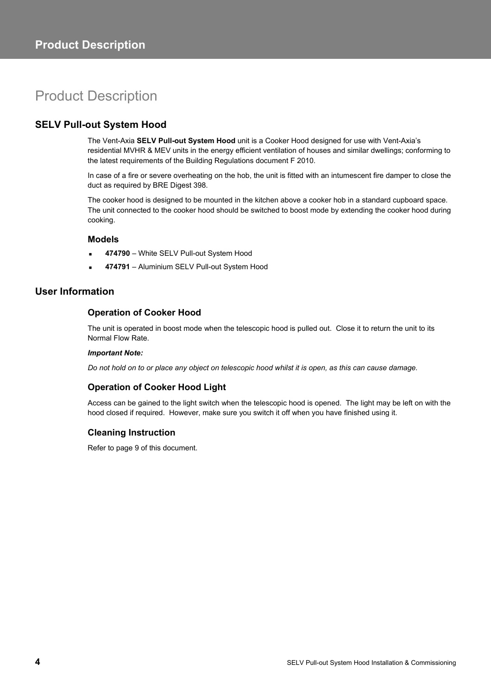# Product Description

## **SELV Pull-out System Hood**

The Vent-Axia **SELV Pull-out System Hood** unit is a Cooker Hood designed for use with Vent-Axia's residential MVHR & MEV units in the energy efficient ventilation of houses and similar dwellings; conforming to the latest requirements of the Building Regulations document F 2010.

In case of a fire or severe overheating on the hob, the unit is fitted with an intumescent fire damper to close the duct as required by BRE Digest 398.

The cooker hood is designed to be mounted in the kitchen above a cooker hob in a standard cupboard space. The unit connected to the cooker hood should be switched to boost mode by extending the cooker hood during cooking.

#### **Models**

- **474790**  White SELV Pull-out System Hood
- **474791**  Aluminium SELV Pull-out System Hood

#### **User Information**

#### **Operation of Cooker Hood**

The unit is operated in boost mode when the telescopic hood is pulled out. Close it to return the unit to its Normal Flow Rate.

#### *Important Note:*

*Do not hold on to or place any object on telescopic hood whilst it is open, as this can cause damage.* 

#### **Operation of Cooker Hood Light**

Access can be gained to the light switch when the telescopic hood is opened. The light may be left on with the hood closed if required. However, make sure you switch it off when you have finished using it.

#### **Cleaning Instruction**

Refer to page 9 of this document.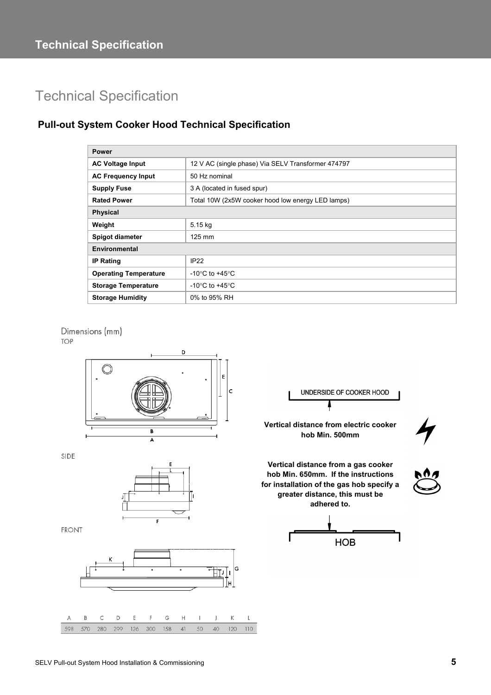# Technical Specification

# **Pull-out System Cooker Hood Technical Specification**

| <b>Power</b>                 |                                                    |  |
|------------------------------|----------------------------------------------------|--|
| <b>AC Voltage Input</b>      | 12 V AC (single phase) Via SELV Transformer 474797 |  |
| <b>AC Frequency Input</b>    | 50 Hz nominal                                      |  |
| <b>Supply Fuse</b>           | 3 A (located in fused spur)                        |  |
| <b>Rated Power</b>           | Total 10W (2x5W cooker hood low energy LED lamps)  |  |
| <b>Physical</b>              |                                                    |  |
| Weight                       | 5.15 kg                                            |  |
| Spigot diameter              | $125$ mm                                           |  |
| Environmental                |                                                    |  |
| <b>IP Rating</b>             | IP <sub>22</sub>                                   |  |
| <b>Operating Temperature</b> | -10 $\degree$ C to +45 $\degree$ C                 |  |
| <b>Storage Temperature</b>   | -10 $\degree$ C to +45 $\degree$ C                 |  |
| <b>Storage Humidity</b>      | 0% to 95% RH                                       |  |







 $\mathsf{K}$  $\mathbf{L}$ 

120 110

 $\mathbf{I}$  $\overline{1}$ 

50 40

 $\overline{A}$  $\overline{B}$  $\overline{C}$ D E F G  $H$ 

598 570



280 299 126 300 158  $41$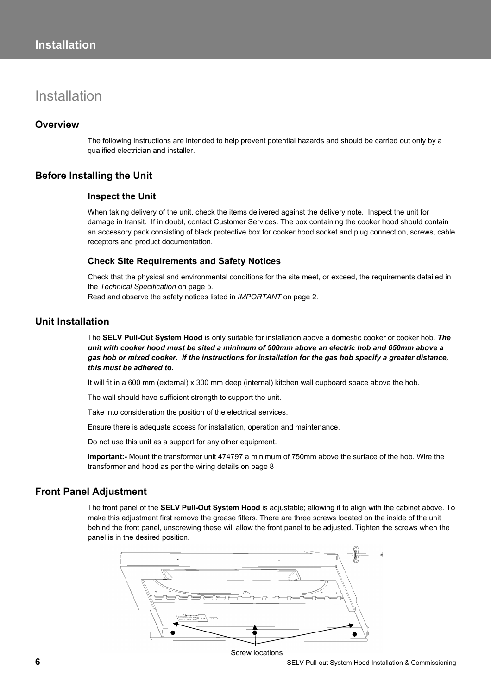# Installation

#### **Overview**

The following instructions are intended to help prevent potential hazards and should be carried out only by a qualified electrician and installer.

#### **Before Installing the Unit**

#### **Inspect the Unit**

When taking delivery of the unit, check the items delivered against the delivery note. Inspect the unit for damage in transit. If in doubt, contact Customer Services. The box containing the cooker hood should contain an accessory pack consisting of black protective box for cooker hood socket and plug connection, screws, cable receptors and product documentation.

#### **Check Site Requirements and Safety Notices**

Check that the physical and environmental conditions for the site meet, or exceed, the requirements detailed in the *Technical Specification* on page 5*.*  Read and observe the safety notices listed in *IMPORTANT* on page 2.

#### **Unit Installation**

The **SELV Pull-Out System Hood** is only suitable for installation above a domestic cooker or cooker hob. *The unit with cooker hood must be sited a minimum of 500mm above an electric hob and 650mm above a gas hob or mixed cooker. If the instructions for installation for the gas hob specify a greater distance, this must be adhered to.*

It will fit in a 600 mm (external) x 300 mm deep (internal) kitchen wall cupboard space above the hob.

The wall should have sufficient strength to support the unit.

Take into consideration the position of the electrical services.

Ensure there is adequate access for installation, operation and maintenance.

Do not use this unit as a support for any other equipment.

**Important:-** Mount the transformer unit 474797 a minimum of 750mm above the surface of the hob. Wire the transformer and hood as per the wiring details on page 8

#### **Front Panel Adjustment**

The front panel of the **SELV Pull-Out System Hood** is adjustable; allowing it to align with the cabinet above. To make this adjustment first remove the grease filters. There are three screws located on the inside of the unit behind the front panel, unscrewing these will allow the front panel to be adjusted. Tighten the screws when the panel is in the desired position.

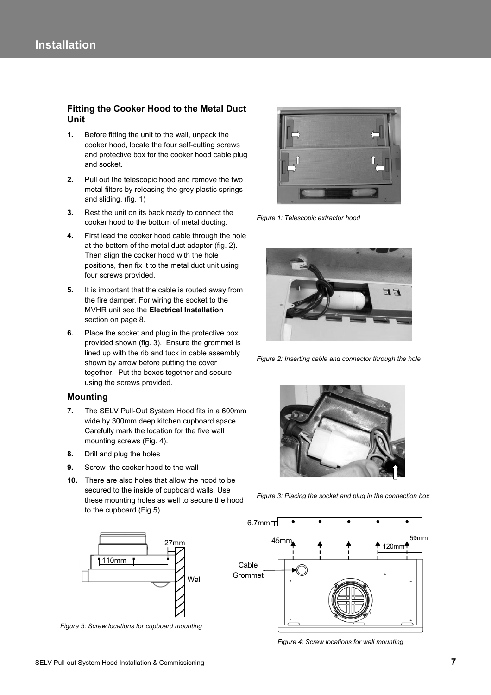#### **Fitting the Cooker Hood to the Metal Duct Unit**

- **1.** Before fitting the unit to the wall, unpack the cooker hood, locate the four self-cutting screws and protective box for the cooker hood cable plug and socket.
- **2.** Pull out the telescopic hood and remove the two metal filters by releasing the grey plastic springs and sliding. (fig. 1)
- **3.** Rest the unit on its back ready to connect the cooker hood to the bottom of metal ducting.
- **4.** First lead the cooker hood cable through the hole at the bottom of the metal duct adaptor (fig. 2). Then align the cooker hood with the hole positions, then fix it to the metal duct unit using four screws provided.
- **5.** It is important that the cable is routed away from the fire damper. For wiring the socket to the MVHR unit see the **Electrical Installation**  section on page 8.
- **6.** Place the socket and plug in the protective box provided shown (fig. 3). Ensure the grommet is lined up with the rib and tuck in cable assembly shown by arrow before putting the cover together. Put the boxes together and secure using the screws provided.

#### **Mounting**

- **7.** The SELV Pull-Out System Hood fits in a 600mm wide by 300mm deep kitchen cupboard space. Carefully mark the location for the five wall mounting screws (Fig. 4).
- **8.** Drill and plug the holes
- **9.** Screw the cooker hood to the wall
- **10.** There are also holes that allow the hood to be secured to the inside of cupboard walls. Use these mounting holes as well to secure the hood to the cupboard (Fig.5).



*Figure 5: Screw locations for cupboard mounting* 



*Figure 1: Telescopic extractor hood*



*Figure 2: Inserting cable and connector through the hole* 



*Figure 3: Placing the socket and plug in the connection box* 



*Figure 4: Screw locations for wall mounting*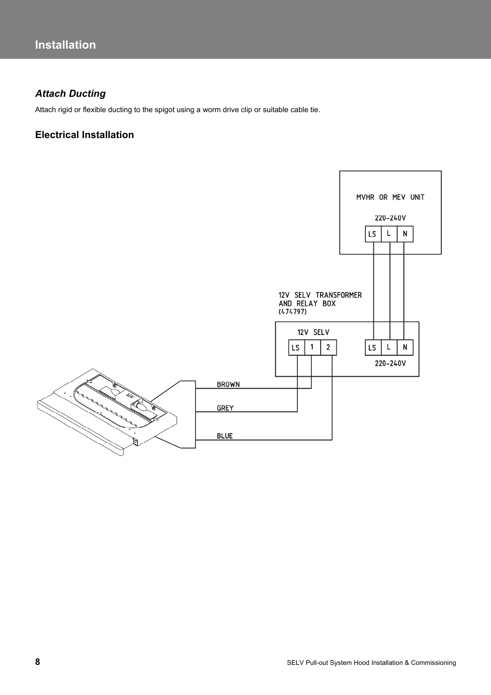# *Attach Ducting*

Attach rigid or flexible ducting to the spigot using a worm drive clip or suitable cable tie.

## **Electrical Installation**

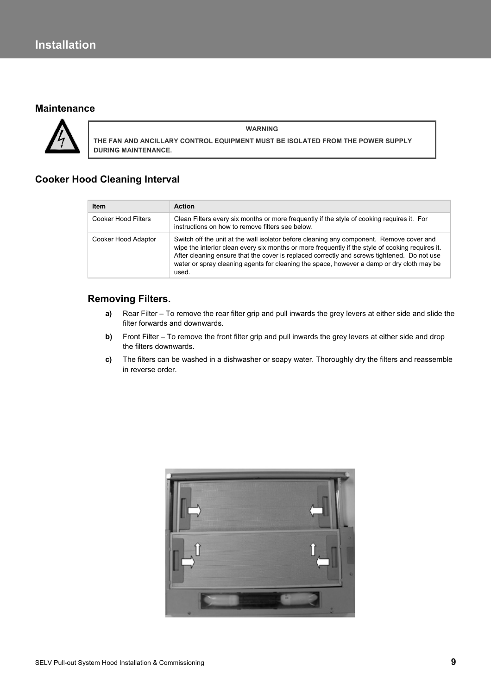## **Maintenance**



**WARNING THE FAN AND ANCILLARY CONTROL EQUIPMENT MUST BE ISOLATED FROM THE POWER SUPPLY DURING MAINTENANCE.** 

# **Cooker Hood Cleaning Interval**

| <b>Item</b>         | <b>Action</b>                                                                                                                                                                                                                                                                                                                                                                                     |
|---------------------|---------------------------------------------------------------------------------------------------------------------------------------------------------------------------------------------------------------------------------------------------------------------------------------------------------------------------------------------------------------------------------------------------|
| Cooker Hood Filters | Clean Filters every six months or more frequently if the style of cooking requires it. For<br>instructions on how to remove filters see below.                                                                                                                                                                                                                                                    |
| Cooker Hood Adaptor | Switch off the unit at the wall isolator before cleaning any component. Remove cover and<br>wipe the interior clean every six months or more frequently if the style of cooking requires it.<br>After cleaning ensure that the cover is replaced correctly and screws tightened. Do not use<br>water or spray cleaning agents for cleaning the space, however a damp or dry cloth may be<br>used. |

#### **Removing Filters.**

- **a)** Rear Filter To remove the rear filter grip and pull inwards the grey levers at either side and slide the filter forwards and downwards.
- **b)** Front Filter To remove the front filter grip and pull inwards the grey levers at either side and drop the filters downwards.
- **c)** The filters can be washed in a dishwasher or soapy water. Thoroughly dry the filters and reassemble in reverse order.

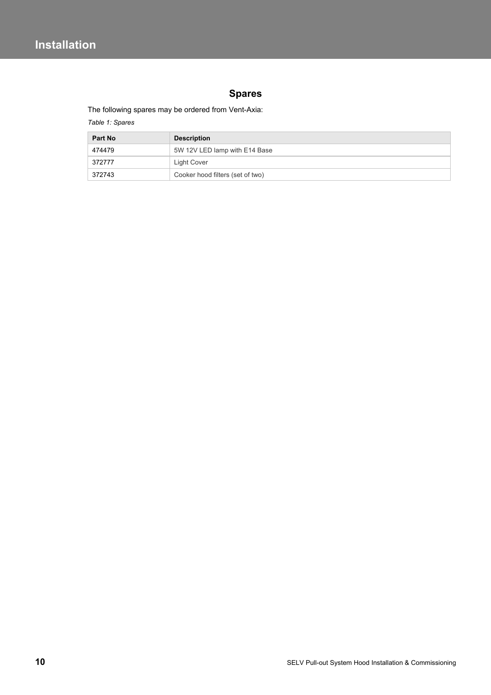# **Spares**

The following spares may be ordered from Vent-Axia:

*Table 1: Spares* 

| <b>Part No</b> | <b>Description</b>               |
|----------------|----------------------------------|
| 474479         | 5W 12V LED lamp with E14 Base    |
| 372777         | Light Cover                      |
| 372743         | Cooker hood filters (set of two) |